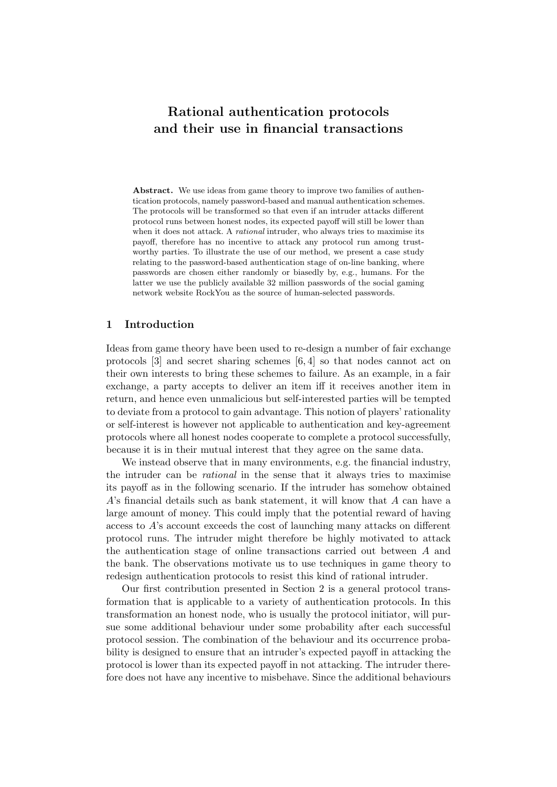# Rational authentication protocols and their use in financial transactions

Abstract. We use ideas from game theory to improve two families of authentication protocols, namely password-based and manual authentication schemes. The protocols will be transformed so that even if an intruder attacks different protocol runs between honest nodes, its expected payoff will still be lower than when it does not attack. A *rational* intruder, who always tries to maximise its payoff, therefore has no incentive to attack any protocol run among trustworthy parties. To illustrate the use of our method, we present a case study relating to the password-based authentication stage of on-line banking, where passwords are chosen either randomly or biasedly by, e.g., humans. For the latter we use the publicly available 32 million passwords of the social gaming network website RockYou as the source of human-selected passwords.

#### 1 Introduction

Ideas from game theory have been used to re-design a number of fair exchange protocols [3] and secret sharing schemes [6, 4] so that nodes cannot act on their own interests to bring these schemes to failure. As an example, in a fair exchange, a party accepts to deliver an item iff it receives another item in return, and hence even unmalicious but self-interested parties will be tempted to deviate from a protocol to gain advantage. This notion of players' rationality or self-interest is however not applicable to authentication and key-agreement protocols where all honest nodes cooperate to complete a protocol successfully, because it is in their mutual interest that they agree on the same data.

We instead observe that in many environments, e.g. the financial industry, the intruder can be rational in the sense that it always tries to maximise its payoff as in the following scenario. If the intruder has somehow obtained A's financial details such as bank statement, it will know that A can have a large amount of money. This could imply that the potential reward of having access to A's account exceeds the cost of launching many attacks on different protocol runs. The intruder might therefore be highly motivated to attack the authentication stage of online transactions carried out between A and the bank. The observations motivate us to use techniques in game theory to redesign authentication protocols to resist this kind of rational intruder.

Our first contribution presented in Section 2 is a general protocol transformation that is applicable to a variety of authentication protocols. In this transformation an honest node, who is usually the protocol initiator, will pursue some additional behaviour under some probability after each successful protocol session. The combination of the behaviour and its occurrence probability is designed to ensure that an intruder's expected payoff in attacking the protocol is lower than its expected payoff in not attacking. The intruder therefore does not have any incentive to misbehave. Since the additional behaviours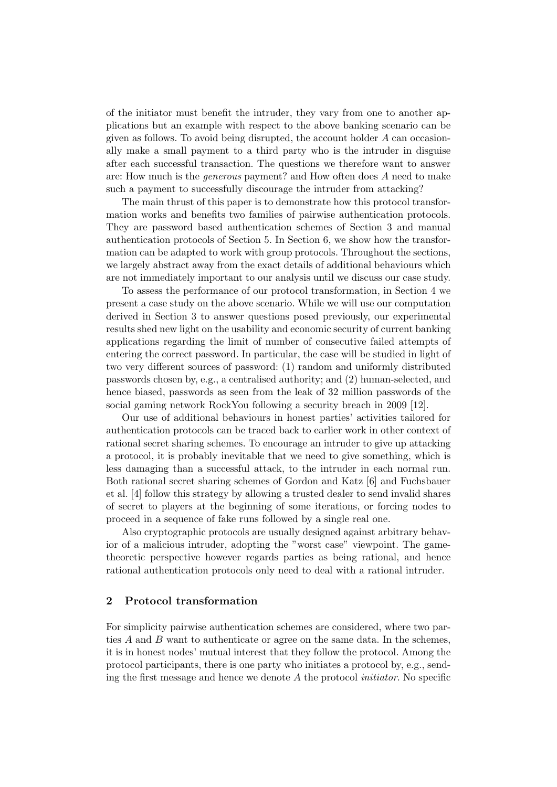of the initiator must benefit the intruder, they vary from one to another applications but an example with respect to the above banking scenario can be given as follows. To avoid being disrupted, the account holder A can occasionally make a small payment to a third party who is the intruder in disguise after each successful transaction. The questions we therefore want to answer are: How much is the generous payment? and How often does A need to make such a payment to successfully discourage the intruder from attacking?

The main thrust of this paper is to demonstrate how this protocol transformation works and benefits two families of pairwise authentication protocols. They are password based authentication schemes of Section 3 and manual authentication protocols of Section 5. In Section 6, we show how the transformation can be adapted to work with group protocols. Throughout the sections, we largely abstract away from the exact details of additional behaviours which are not immediately important to our analysis until we discuss our case study.

To assess the performance of our protocol transformation, in Section 4 we present a case study on the above scenario. While we will use our computation derived in Section 3 to answer questions posed previously, our experimental results shed new light on the usability and economic security of current banking applications regarding the limit of number of consecutive failed attempts of entering the correct password. In particular, the case will be studied in light of two very different sources of password: (1) random and uniformly distributed passwords chosen by, e.g., a centralised authority; and (2) human-selected, and hence biased, passwords as seen from the leak of 32 million passwords of the social gaming network RockYou following a security breach in 2009 [12].

Our use of additional behaviours in honest parties' activities tailored for authentication protocols can be traced back to earlier work in other context of rational secret sharing schemes. To encourage an intruder to give up attacking a protocol, it is probably inevitable that we need to give something, which is less damaging than a successful attack, to the intruder in each normal run. Both rational secret sharing schemes of Gordon and Katz [6] and Fuchsbauer et al. [4] follow this strategy by allowing a trusted dealer to send invalid shares of secret to players at the beginning of some iterations, or forcing nodes to proceed in a sequence of fake runs followed by a single real one.

Also cryptographic protocols are usually designed against arbitrary behavior of a malicious intruder, adopting the "worst case" viewpoint. The gametheoretic perspective however regards parties as being rational, and hence rational authentication protocols only need to deal with a rational intruder.

## 2 Protocol transformation

For simplicity pairwise authentication schemes are considered, where two parties A and B want to authenticate or agree on the same data. In the schemes, it is in honest nodes' mutual interest that they follow the protocol. Among the protocol participants, there is one party who initiates a protocol by, e.g., sending the first message and hence we denote  $A$  the protocol *initiator*. No specific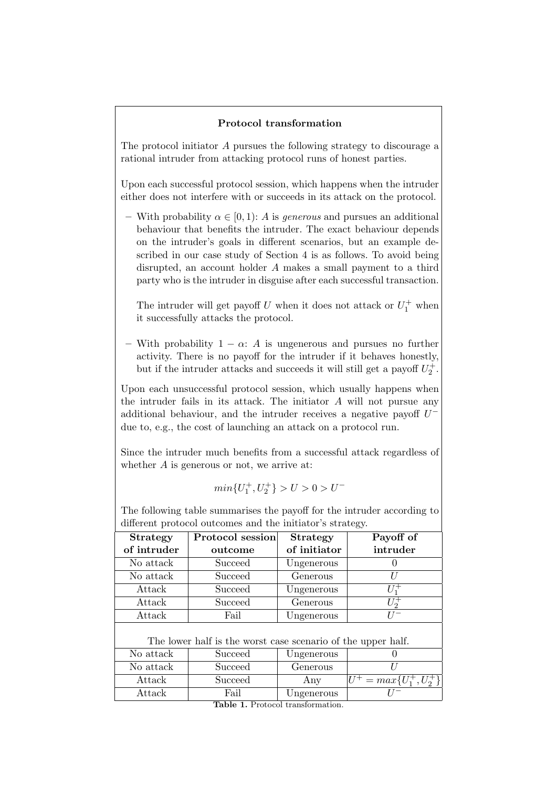## Protocol transformation

The protocol initiator A pursues the following strategy to discourage a rational intruder from attacking protocol runs of honest parties.

Upon each successful protocol session, which happens when the intruder either does not interfere with or succeeds in its attack on the protocol.

– With probability  $\alpha \in [0,1)$ : A is generous and pursues an additional behaviour that benefits the intruder. The exact behaviour depends on the intruder's goals in different scenarios, but an example described in our case study of Section 4 is as follows. To avoid being disrupted, an account holder A makes a small payment to a third party who is the intruder in disguise after each successful transaction.

The intruder will get payoff U when it does not attack or  $U_1^+$  when it successfully attacks the protocol.

– With probability  $1 - \alpha$ : A is ungenerous and pursues no further activity. There is no payoff for the intruder if it behaves honestly, but if the intruder attacks and succeeds it will still get a payoff  $U_2^+$ .

Upon each unsuccessful protocol session, which usually happens when the intruder fails in its attack. The initiator  $A$  will not pursue any additional behaviour, and the intruder receives a negative payoff  $U^$ due to, e.g., the cost of launching an attack on a protocol run.

Since the intruder much benefits from a successful attack regardless of whether  $A$  is generous or not, we arrive at:

$$
\min\{U_1^+,U_2^+\}>U>0>U^-
$$

The following table summarises the payoff for the intruder according to different protocol outcomes and the initiator's strategy.

| <b>Strategy</b>                                              | Protocol session | <b>Strategy</b> | Payoff of                   |  |
|--------------------------------------------------------------|------------------|-----------------|-----------------------------|--|
| of intruder                                                  | outcome          | of initiator    | intruder                    |  |
| No attack                                                    | Succeed          | Ungenerous      |                             |  |
| No attack                                                    | Succeed          | Generous        | U                           |  |
| Attack                                                       | Succeed          | Ungenerous      | $U_1^+$                     |  |
| Attack                                                       | Succeed          | Generous        | $U_2^+$                     |  |
| Attack                                                       | Fail             | Ungenerous      |                             |  |
| The lower half is the worst case scenario of the upper half. |                  |                 |                             |  |
| No attack                                                    | Succeed          | Ungenerous      |                             |  |
| No attack                                                    | Succeed          | Generous        |                             |  |
| Attack                                                       | Succeed          | Any             | $U^+ = max\{U_1^+, U_2^+\}$ |  |
| Attack                                                       | Fail             | Ungenerous      |                             |  |
|                                                              |                  |                 |                             |  |

Table 1. Protocol transformation.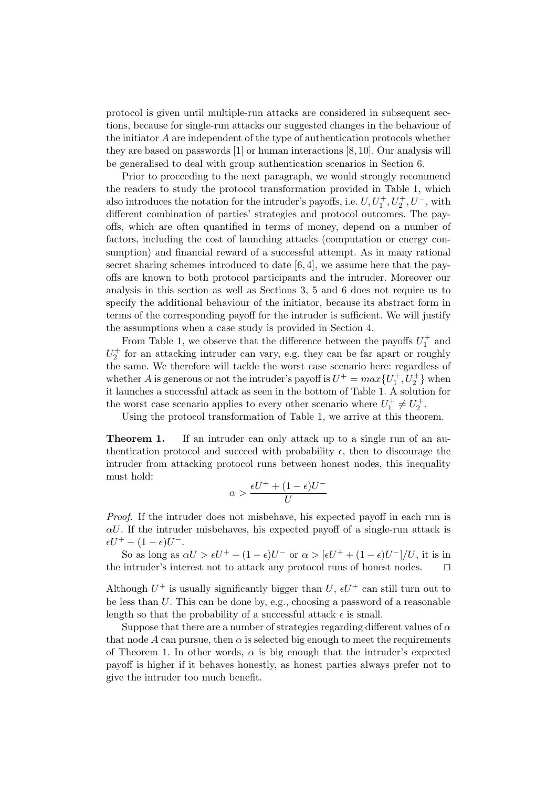protocol is given until multiple-run attacks are considered in subsequent sections, because for single-run attacks our suggested changes in the behaviour of the initiator A are independent of the type of authentication protocols whether they are based on passwords [1] or human interactions [8, 10]. Our analysis will be generalised to deal with group authentication scenarios in Section 6.

Prior to proceeding to the next paragraph, we would strongly recommend the readers to study the protocol transformation provided in Table 1, which also introduces the notation for the intruder's payoffs, i.e.  $U, U_1^+, U_2^+, U^-,$  with different combination of parties' strategies and protocol outcomes. The payoffs, which are often quantified in terms of money, depend on a number of factors, including the cost of launching attacks (computation or energy consumption) and financial reward of a successful attempt. As in many rational secret sharing schemes introduced to date  $[6, 4]$ , we assume here that the payoffs are known to both protocol participants and the intruder. Moreover our analysis in this section as well as Sections 3, 5 and 6 does not require us to specify the additional behaviour of the initiator, because its abstract form in terms of the corresponding payoff for the intruder is sufficient. We will justify the assumptions when a case study is provided in Section 4.

From Table 1, we observe that the difference between the payoffs  $U_1^+$  and  $U_2^+$  for an attacking intruder can vary, e.g. they can be far apart or roughly the same. We therefore will tackle the worst case scenario here: regardless of whether A is generous or not the intruder's payoff is  $U^+ = max\{U_1^+, U_2^+\}$  when it launches a successful attack as seen in the bottom of Table 1. A solution for the worst case scenario applies to every other scenario where  $U_1^+ \neq U_2^+$ .

Using the protocol transformation of Table 1, we arrive at this theorem.

**Theorem 1.** If an intruder can only attack up to a single run of an authentication protocol and succeed with probability  $\epsilon$ , then to discourage the intruder from attacking protocol runs between honest nodes, this inequality must hold:

$$
\alpha > \frac{\epsilon U^+ + (1-\epsilon)U^-}{U}
$$

Proof. If the intruder does not misbehave, his expected payoff in each run is  $\alpha U$ . If the intruder misbehaves, his expected payoff of a single-run attack is  $\epsilon U^+ + (1 - \epsilon) U^-.$ 

So as long as  $\alpha U > \epsilon U^+ + (1 - \epsilon)U^-$  or  $\alpha > [\epsilon U^+ + (1 - \epsilon)U^-]/U$ , it is in the intruder's interest not to attack any protocol runs of honest nodes.  $\square$ 

Although  $U^+$  is usually significantly bigger than  $U, \, \epsilon U^+$  can still turn out to be less than U. This can be done by, e.g., choosing a password of a reasonable length so that the probability of a successful attack  $\epsilon$  is small.

Suppose that there are a number of strategies regarding different values of  $\alpha$ that node A can pursue, then  $\alpha$  is selected big enough to meet the requirements of Theorem 1. In other words,  $\alpha$  is big enough that the intruder's expected payoff is higher if it behaves honestly, as honest parties always prefer not to give the intruder too much benefit.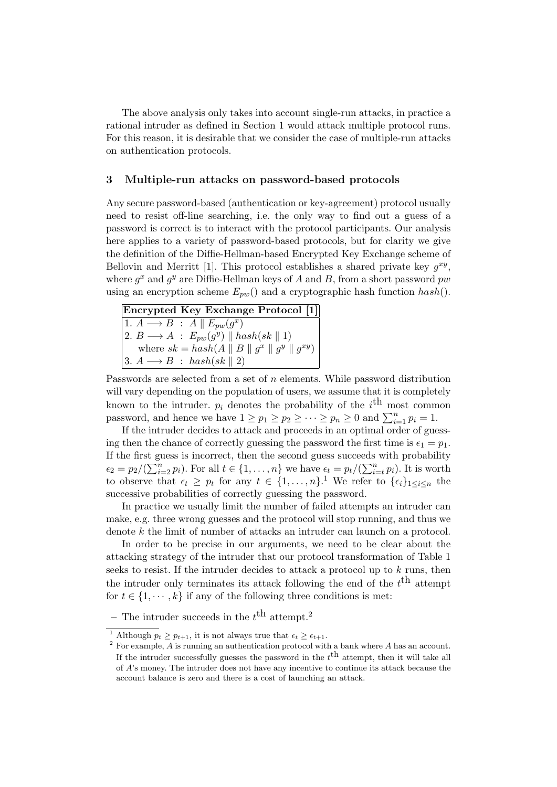The above analysis only takes into account single-run attacks, in practice a rational intruder as defined in Section 1 would attack multiple protocol runs. For this reason, it is desirable that we consider the case of multiple-run attacks on authentication protocols.

#### 3 Multiple-run attacks on password-based protocols

Any secure password-based (authentication or key-agreement) protocol usually need to resist off-line searching, i.e. the only way to find out a guess of a password is correct is to interact with the protocol participants. Our analysis here applies to a variety of password-based protocols, but for clarity we give the definition of the Diffie-Hellman-based Encrypted Key Exchange scheme of Bellovin and Merritt [1]. This protocol establishes a shared private key  $g^{xy}$ , where  $g^x$  and  $g^y$  are Diffie-Hellman keys of A and B, from a short password  $pw$ using an encryption scheme  $E_{pw}$  and a cryptographic hash function  $hash()$ .

| Encrypted Key Exchange Protocol [1]                                           |
|-------------------------------------------------------------------------------|
| $ 1. A \rightarrow B : A    E_{pw}(q^x)$                                      |
| $ 2. B \longrightarrow A : E_{pw}(g^y) \parallel hash(sk \parallel 1)$        |
| where $sk = hash(A \parallel B \parallel g^x \parallel g^y \parallel g^{xy})$ |
| $ 3. A \rightarrow B : hash(sk    2)$                                         |

Passwords are selected from a set of  $n$  elements. While password distribution will vary depending on the population of users, we assume that it is completely known to the intruder.  $p_i$  denotes the probability of the  $i^{\text{th}}$  most common password, and hence we have  $1 \ge p_1 \ge p_2 \ge \cdots \ge p_n \ge 0$  and  $\sum_{i=1}^n p_i = 1$ .

If the intruder decides to attack and proceeds in an optimal order of guessing then the chance of correctly guessing the password the first time is  $\epsilon_1 = p_1$ . If the first guess is incorrect, then the second guess succeeds with probability  $\epsilon_2 = p_2/(\sum_{i=2}^n p_i)$ . For all  $t \in \{1, \ldots, n\}$  we have  $\epsilon_t = p_t/(\sum_{i=t}^n p_i)$ . It is worth to observe that  $\epsilon_t \geq p_t$  for any  $t \in \{1, \ldots, n\}$ .<sup>1</sup> We refer to  $\{\epsilon_i\}_{1 \leq i \leq n}$  the successive probabilities of correctly guessing the password.

In practice we usually limit the number of failed attempts an intruder can make, e.g. three wrong guesses and the protocol will stop running, and thus we denote k the limit of number of attacks an intruder can launch on a protocol.

In order to be precise in our arguments, we need to be clear about the attacking strategy of the intruder that our protocol transformation of Table 1 seeks to resist. If the intruder decides to attack a protocol up to  $k$  runs, then the intruder only terminates its attack following the end of the  $t<sup>th</sup>$  attempt for  $t \in \{1, \dots, k\}$  if any of the following three conditions is met:

– The intruder succeeds in the  $t^{\text{th}}$  attempt.<sup>2</sup>

<sup>&</sup>lt;sup>1</sup> Although  $p_t \geq p_{t+1}$ , it is not always true that  $\epsilon_t \geq \epsilon_{t+1}$ .

 $2 \text{ For example, } A \text{ is running an authentication protocol with a bank where } A \text{ has an account.}$ If the intruder successfully guesses the password in the  $t^{\text{th}}$  attempt, then it will take all of A's money. The intruder does not have any incentive to continue its attack because the account balance is zero and there is a cost of launching an attack.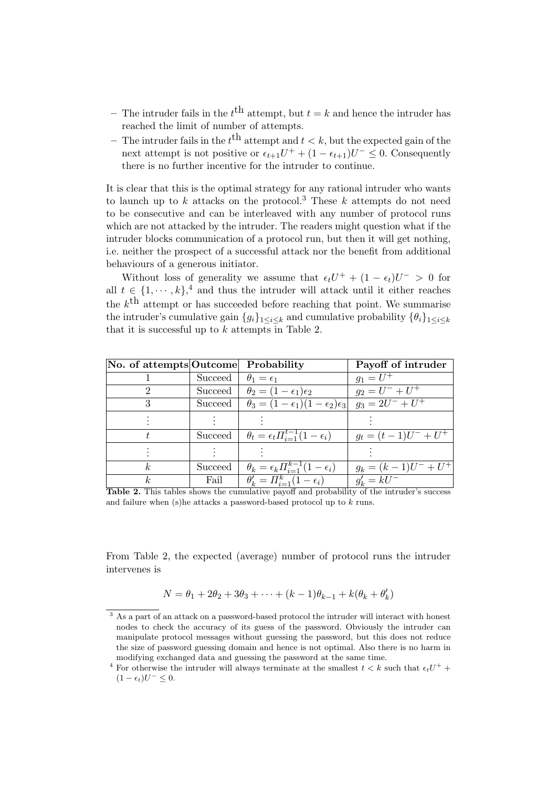- The intruder fails in the  $t<sup>th</sup>$  attempt, but  $t = k$  and hence the intruder has reached the limit of number of attempts.
- The intruder fails in the  $t<sup>th</sup>$  attempt and  $t < k$ , but the expected gain of the next attempt is not positive or  $\epsilon_{t+1}U^+ + (1 - \epsilon_{t+1})U^- \leq 0$ . Consequently there is no further incentive for the intruder to continue.

It is clear that this is the optimal strategy for any rational intruder who wants to launch up to k attacks on the protocol.<sup>3</sup> These k attempts do not need to be consecutive and can be interleaved with any number of protocol runs which are not attacked by the intruder. The readers might question what if the intruder blocks communication of a protocol run, but then it will get nothing, i.e. neither the prospect of a successful attack nor the benefit from additional behaviours of a generous initiator.

Without loss of generality we assume that  $\epsilon_t U^+ + (1 - \epsilon_t)U^- > 0$  for all  $t \in \{1, \dots, k\}$ <sup>4</sup> and thus the intruder will attack until it either reaches the  $k^{\text{th}}$  attempt or has succeeded before reaching that point. We summarise the intruder's cumulative gain  $\{g_i\}_{1\leq i\leq k}$  and cumulative probability  $\{\theta_i\}_{1\leq i\leq k}$ that it is successful up to  $k$  attempts in Table 2.

| No. of attempts Outcome |         | Probability                                                        | Payoff of intruder     |
|-------------------------|---------|--------------------------------------------------------------------|------------------------|
|                         | Succeed | $\theta_1 = \epsilon_1$                                            | $q_1 = U^+$            |
| $\Omega$                | Succeed | $\theta_2 = (1 - \epsilon_1)\epsilon_2$                            | $g_2 = U^- + U^+$      |
|                         | Succeed | $\theta_3 = (1-\epsilon_1)(1-\epsilon_2)\epsilon_3$                | $g_3 = 2U^- + U^+$     |
|                         |         |                                                                    |                        |
|                         |         | Succeed $\theta_t = \epsilon_t \prod_{i=1}^{t-1} (1 - \epsilon_i)$ | $g_t = (t-1)U^- + U^+$ |
|                         |         |                                                                    |                        |
| k,                      | Succeed | $\theta_k = \epsilon_k \prod_{i=1}^{k-1} (1 - \epsilon_i)$         | $g_k = (k-1)U^- + U^+$ |
|                         | Fail    | $\theta'_{k} = \Pi_{i=1}^{k} (1 - \epsilon_{i})$                   | $g'_k = kU^-$          |

Table 2. This tables shows the cumulative payoff and probability of the intruder's success and failure when (s)he attacks a password-based protocol up to k runs.

From Table 2, the expected (average) number of protocol runs the intruder intervenes is

$$
N = \theta_1 + 2\theta_2 + 3\theta_3 + \dots + (k-1)\theta_{k-1} + k(\theta_k + \theta'_k)
$$

<sup>3</sup> As a part of an attack on a password-based protocol the intruder will interact with honest nodes to check the accuracy of its guess of the password. Obviously the intruder can manipulate protocol messages without guessing the password, but this does not reduce the size of password guessing domain and hence is not optimal. Also there is no harm in modifying exchanged data and guessing the password at the same time.

<sup>&</sup>lt;sup>4</sup> For otherwise the intruder will always terminate at the smallest  $t < k$  such that  $\epsilon_t U^+$  +  $(1 - \epsilon_t)U^{-} \leq 0.$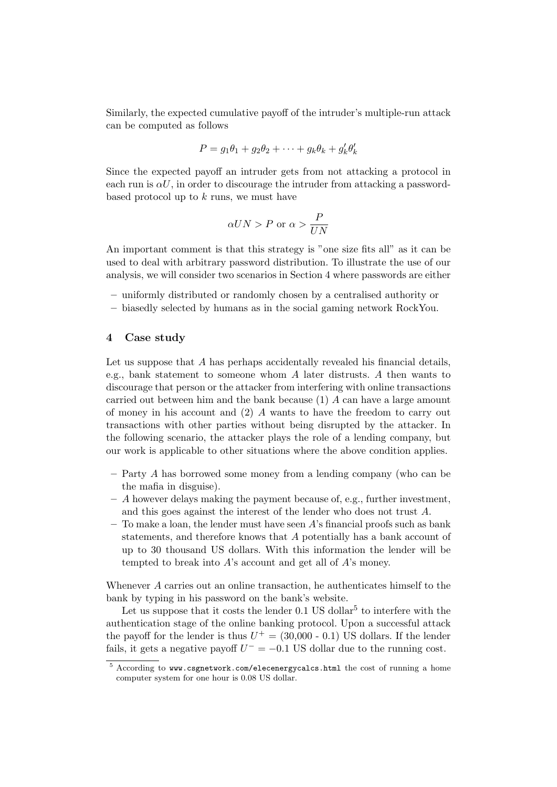Similarly, the expected cumulative payoff of the intruder's multiple-run attack can be computed as follows

$$
P = g_1\theta_1 + g_2\theta_2 + \dots + g_k\theta_k + g'_k\theta'_k
$$

Since the expected payoff an intruder gets from not attacking a protocol in each run is  $\alpha U$ , in order to discourage the intruder from attacking a passwordbased protocol up to  $k$  runs, we must have

$$
\alpha UN > P \text{ or } \alpha > \frac{P}{UN}
$$

An important comment is that this strategy is "one size fits all" as it can be used to deal with arbitrary password distribution. To illustrate the use of our analysis, we will consider two scenarios in Section 4 where passwords are either

- uniformly distributed or randomly chosen by a centralised authority or
- biasedly selected by humans as in the social gaming network RockYou.

#### 4 Case study

Let us suppose that  $A$  has perhaps accidentally revealed his financial details, e.g., bank statement to someone whom A later distrusts. A then wants to discourage that person or the attacker from interfering with online transactions carried out between him and the bank because (1) A can have a large amount of money in his account and  $(2)$  A wants to have the freedom to carry out transactions with other parties without being disrupted by the attacker. In the following scenario, the attacker plays the role of a lending company, but our work is applicable to other situations where the above condition applies.

- Party A has borrowed some money from a lending company (who can be the mafia in disguise).
- $-$  A however delays making the payment because of, e.g., further investment, and this goes against the interest of the lender who does not trust A.
- To make a loan, the lender must have seen  $A$ 's financial proofs such as bank statements, and therefore knows that A potentially has a bank account of up to 30 thousand US dollars. With this information the lender will be tempted to break into  $A$ 's account and get all of  $A$ 's money.

Whenever A carries out an online transaction, he authenticates himself to the bank by typing in his password on the bank's website.

Let us suppose that it costs the lender  $0.1$  US dollar<sup>5</sup> to interfere with the authentication stage of the online banking protocol. Upon a successful attack the payoff for the lender is thus  $U^+ = (30,000 - 0.1)$  US dollars. If the lender fails, it gets a negative payoff  $U^- = -0.1$  US dollar due to the running cost.

<sup>5</sup> According to www.csgnetwork.com/elecenergycalcs.html the cost of running a home computer system for one hour is 0.08 US dollar.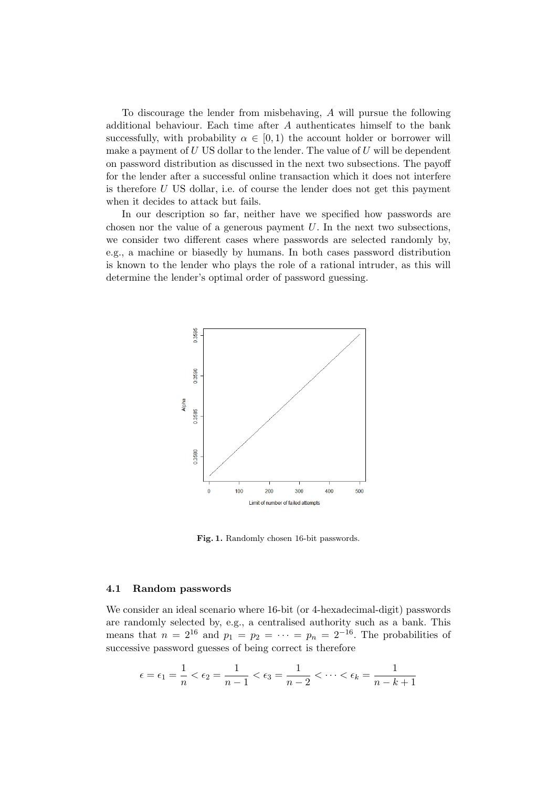To discourage the lender from misbehaving, A will pursue the following additional behaviour. Each time after A authenticates himself to the bank successfully, with probability  $\alpha \in [0,1)$  the account holder or borrower will make a payment of  $U$  US dollar to the lender. The value of  $U$  will be dependent on password distribution as discussed in the next two subsections. The payoff for the lender after a successful online transaction which it does not interfere is therefore  $U$  US dollar, i.e. of course the lender does not get this payment when it decides to attack but fails.

In our description so far, neither have we specified how passwords are chosen nor the value of a generous payment  $U$ . In the next two subsections, we consider two different cases where passwords are selected randomly by, e.g., a machine or biasedly by humans. In both cases password distribution is known to the lender who plays the role of a rational intruder, as this will determine the lender's optimal order of password guessing.



Fig. 1. Randomly chosen 16-bit passwords.

#### 4.1 Random passwords

We consider an ideal scenario where 16-bit (or 4-hexadecimal-digit) passwords are randomly selected by, e.g., a centralised authority such as a bank. This means that  $n = 2^{16}$  and  $p_1 = p_2 = \cdots = p_n = 2^{-16}$ . The probabilities of successive password guesses of being correct is therefore

$$
\epsilon = \epsilon_1 = \frac{1}{n} < \epsilon_2 = \frac{1}{n-1} < \epsilon_3 = \frac{1}{n-2} < \dots < \epsilon_k = \frac{1}{n-k+1}
$$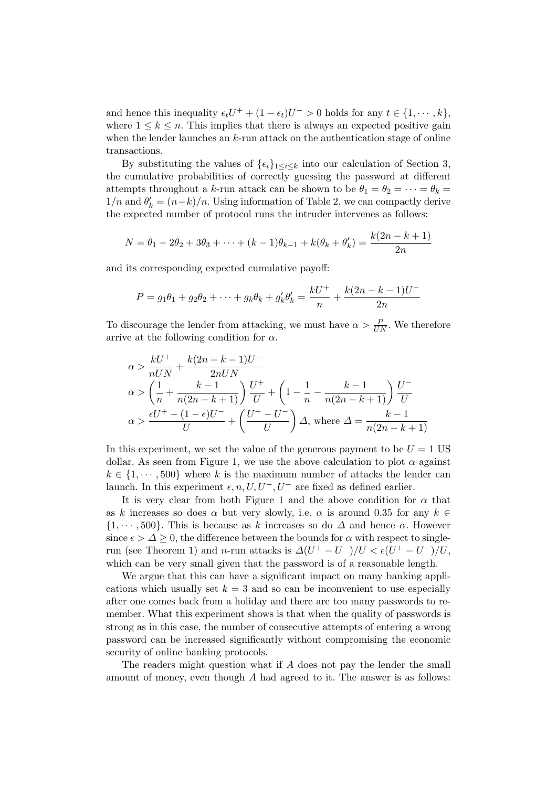and hence this inequality  $\epsilon_t U^+ + (1 - \epsilon_t)U^- > 0$  holds for any  $t \in \{1, \dots, k\}$ , where  $1 \leq k \leq n$ . This implies that there is always an expected positive gain when the lender launches an  $k$ -run attack on the authentication stage of online transactions.

By substituting the values of  $\{\epsilon_i\}_{1\leq i\leq k}$  into our calculation of Section 3, the cumulative probabilities of correctly guessing the password at different attempts throughout a k-run attack can be shown to be  $\theta_1 = \theta_2 = \cdots = \theta_k =$  $1/n$  and  $\theta'_k = (n-k)/n$ . Using information of Table 2, we can compactly derive the expected number of protocol runs the intruder intervenes as follows:

$$
N = \theta_1 + 2\theta_2 + 3\theta_3 + \dots + (k-1)\theta_{k-1} + k(\theta_k + \theta'_k) = \frac{k(2n - k + 1)}{2n}
$$

and its corresponding expected cumulative payoff:

$$
P = g_1 \theta_1 + g_2 \theta_2 + \dots + g_k \theta_k + g'_k \theta'_k = \frac{kU^+}{n} + \frac{k(2n - k - 1)U^-}{2n}
$$

To discourage the lender from attacking, we must have  $\alpha > \frac{P}{UN}$ . We therefore arrive at the following condition for  $\alpha$ .

$$
\alpha > \frac{kU^{+}}{nUN} + \frac{k(2n - k - 1)U^{-}}{2nUN}
$$
\n
$$
\alpha > \left(\frac{1}{n} + \frac{k - 1}{n(2n - k + 1)}\right) \frac{U^{+}}{U} + \left(1 - \frac{1}{n} - \frac{k - 1}{n(2n - k + 1)}\right) \frac{U^{-}}{U}
$$
\n
$$
\alpha > \frac{\epsilon U^{+} + (1 - \epsilon)U^{-}}{U} + \left(\frac{U^{+} - U^{-}}{U}\right) \Delta, \text{ where } \Delta = \frac{k - 1}{n(2n - k + 1)}
$$

In this experiment, we set the value of the generous payment to be  $U = 1$  US dollar. As seen from Figure 1, we use the above calculation to plot  $\alpha$  against  $k \in \{1, \dots, 500\}$  where k is the maximum number of attacks the lender can launch. In this experiment  $\epsilon, n, U, U^+, U^-$  are fixed as defined earlier.

It is very clear from both Figure 1 and the above condition for  $\alpha$  that as k increases so does  $\alpha$  but very slowly, i.e.  $\alpha$  is around 0.35 for any  $k \in$  $\{1, \dots, 500\}$ . This is because as k increases so do  $\Delta$  and hence  $\alpha$ . However since  $\epsilon > \Delta > 0$ , the difference between the bounds for  $\alpha$  with respect to singlerun (see Theorem 1) and n-run attacks is  $\Delta(U^+ - U^-)/U < \epsilon(U^+ - U^-)/U$ , which can be very small given that the password is of a reasonable length.

We argue that this can have a significant impact on many banking applications which usually set  $k = 3$  and so can be inconvenient to use especially after one comes back from a holiday and there are too many passwords to remember. What this experiment shows is that when the quality of passwords is strong as in this case, the number of consecutive attempts of entering a wrong password can be increased significantly without compromising the economic security of online banking protocols.

The readers might question what if A does not pay the lender the small amount of money, even though A had agreed to it. The answer is as follows: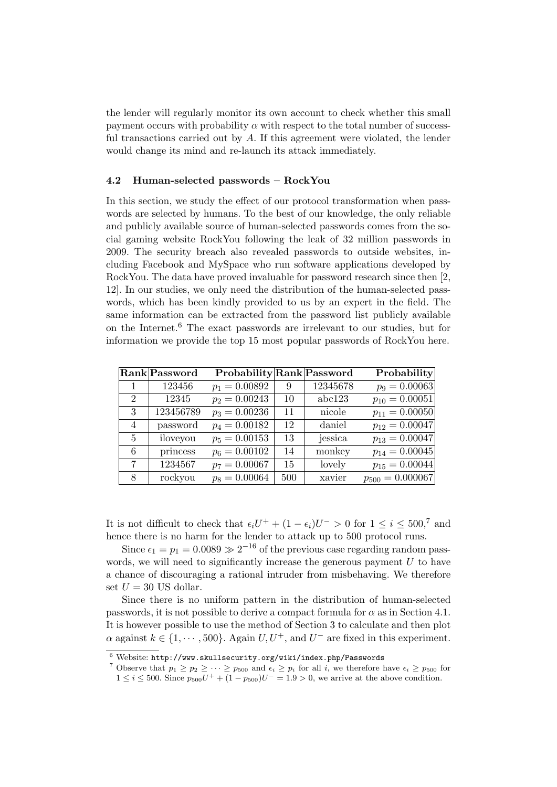the lender will regularly monitor its own account to check whether this small payment occurs with probability  $\alpha$  with respect to the total number of successful transactions carried out by A. If this agreement were violated, the lender would change its mind and re-launch its attack immediately.

# 4.2 Human-selected passwords – RockYou

In this section, we study the effect of our protocol transformation when passwords are selected by humans. To the best of our knowledge, the only reliable and publicly available source of human-selected passwords comes from the social gaming website RockYou following the leak of 32 million passwords in 2009. The security breach also revealed passwords to outside websites, including Facebook and MySpace who run software applications developed by RockYou. The data have proved invaluable for password research since then [2, 12]. In our studies, we only need the distribution of the human-selected passwords, which has been kindly provided to us by an expert in the field. The same information can be extracted from the password list publicly available on the Internet.<sup>6</sup> The exact passwords are irrelevant to our studies, but for information we provide the top 15 most popular passwords of RockYou here.

|                | Rank Password | Probability Rank Password |     |          | Probability          |
|----------------|---------------|---------------------------|-----|----------|----------------------|
|                | 123456        | $p_1 = 0.00892$           | 9   | 12345678 | $p_9 = 0.00063$      |
| $\overline{2}$ | 12345         | $p_2 = 0.00243$           | 10  | abc123   | $p_{10} = 0.00051$   |
| 3              | 123456789     | $p_3 = 0.00236$           | 11  | nicole   | $p_{11} = 0.00050$   |
| 4              | password      | $p_4 = 0.00182$           | 12  | daniel   | $p_{12} = 0.00047$   |
| $\overline{5}$ | iloveyou      | $p_5 = 0.00153$           | 13  | jessica  | $p_{13} = 0.00047$   |
| 6              | princess      | $p_6 = 0.00102$           | 14  | monkey   | $p_{14} = 0.00045$   |
| 7              | 1234567       | $p_7 = 0.00067$           | 15  | lovely   | $p_{15} = 0.00044$   |
| 8              | rockyou       | $p_8 = 0.00064$           | 500 | xavier   | $p_{500} = 0.000067$ |

It is not difficult to check that  $\epsilon_i U^+ + (1 - \epsilon_i)U^- > 0$  for  $1 \le i \le 500$ ,<sup>7</sup> and hence there is no harm for the lender to attack up to 500 protocol runs.

Since  $\epsilon_1 = p_1 = 0.0089 \gg 2^{-16}$  of the previous case regarding random passwords, we will need to significantly increase the generous payment  $U$  to have a chance of discouraging a rational intruder from misbehaving. We therefore set  $U = 30$  US dollar.

Since there is no uniform pattern in the distribution of human-selected passwords, it is not possible to derive a compact formula for  $\alpha$  as in Section 4.1. It is however possible to use the method of Section 3 to calculate and then plot  $\alpha$  against  $k \in \{1, \dots, 500\}$ . Again  $U, U^+$ , and  $U^-$  are fixed in this experiment.

 $^6$ Website: http://www.skullsecurity.org/wiki/index.php/Passwords

<sup>&</sup>lt;sup>7</sup> Observe that  $p_1 \geq p_2 \geq \cdots \geq p_{500}$  and  $\epsilon_i \geq p_i$  for all i, we therefore have  $\epsilon_i \geq p_{500}$  for  $1 \leq i \leq 500$ . Since  $p_{500}U^{+} + (1 - p_{500})U^{-} = 1.9 > 0$ , we arrive at the above condition.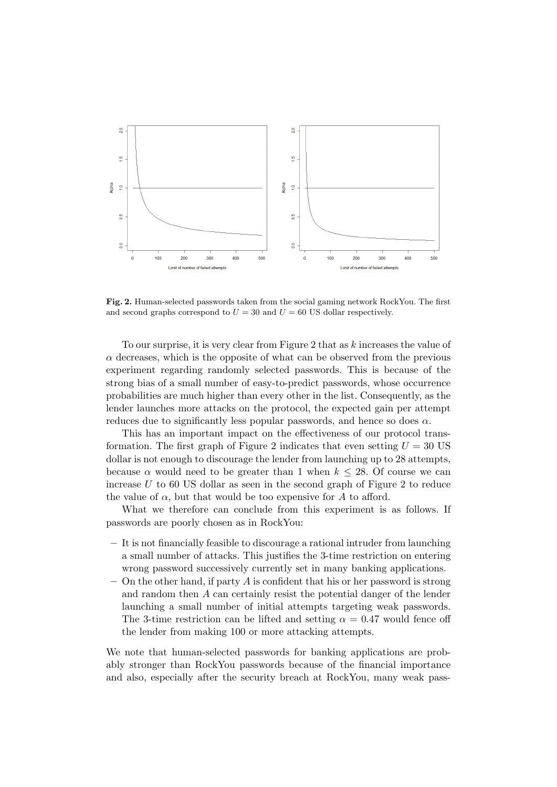

Fig. 2. Human-selected passwords taken from the social gaming network RockYou. The first and second graphs correspond to  $U = 30$  and  $U = 60$  US dollar respectively.

To our surprise, it is very clear from Figure 2 that as k increases the value of  $\alpha$  decreases, which is the opposite of what can be observed from the previous experiment regarding randomly selected passwords. This is because of the strong bias of a small number of easy-to-predict passwords, whose occurrence probabilities are much higher than every other in the list. Consequently, as the lender launches more attacks on the protocol, the expected gain per attempt reduces due to significantly less popular passwords, and hence so does  $\alpha$ .

This has an important impact on the effectiveness of our protocol transformation. The first graph of Figure 2 indicates that even setting  $U = 30$  US dollar is not enough to discourage the lender from launching up to 28 attempts, because  $\alpha$  would need to be greater than 1 when  $k \leq 28$ . Of course we can increase  $U$  to 60 US dollar as seen in the second graph of Figure 2 to reduce the value of  $\alpha$ , but that would be too expensive for A to afford.

What we therefore can conclude from this experiment is as follows. If passwords are poorly chosen as in RockYou:

- It is not financially feasible to discourage a rational intruder from launching a small number of attacks. This justifies the 3-time restriction on entering wrong password successively currently set in many banking applications.
- On the other hand, if party A is confident that his or her password is strong and random then A can certainly resist the potential danger of the lender launching a small number of initial attempts targeting weak passwords. The 3-time restriction can be lifted and setting  $\alpha = 0.47$  would fence off the lender from making 100 or more attacking attempts.

We note that human-selected passwords for banking applications are probably stronger than RockYou passwords because of the financial importance and also, especially after the security breach at RockYou, many weak pass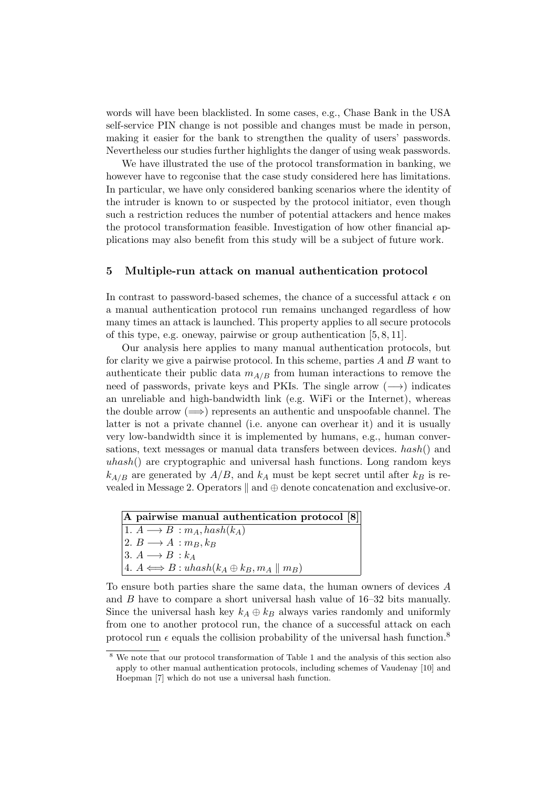words will have been blacklisted. In some cases, e.g., Chase Bank in the USA self-service PIN change is not possible and changes must be made in person, making it easier for the bank to strengthen the quality of users' passwords. Nevertheless our studies further highlights the danger of using weak passwords.

We have illustrated the use of the protocol transformation in banking, we however have to regconise that the case study considered here has limitations. In particular, we have only considered banking scenarios where the identity of the intruder is known to or suspected by the protocol initiator, even though such a restriction reduces the number of potential attackers and hence makes the protocol transformation feasible. Investigation of how other financial applications may also benefit from this study will be a subject of future work.

#### 5 Multiple-run attack on manual authentication protocol

In contrast to password-based schemes, the chance of a successful attack  $\epsilon$  on a manual authentication protocol run remains unchanged regardless of how many times an attack is launched. This property applies to all secure protocols of this type, e.g. oneway, pairwise or group authentication [5, 8, 11].

Our analysis here applies to many manual authentication protocols, but for clarity we give a pairwise protocol. In this scheme, parties  $A$  and  $B$  want to authenticate their public data  $m_{A/B}$  from human interactions to remove the need of passwords, private keys and PKIs. The single arrow  $(\longrightarrow)$  indicates an unreliable and high-bandwidth link (e.g. WiFi or the Internet), whereas the double arrow  $(\implies)$  represents an authentic and unspoofable channel. The latter is not a private channel (i.e. anyone can overhear it) and it is usually very low-bandwidth since it is implemented by humans, e.g., human conversations, text messages or manual data transfers between devices. hash() and  $uhash()$  are cryptographic and universal hash functions. Long random keys  $k_{A/B}$  are generated by  $A/B$ , and  $k_A$  must be kept secret until after  $k_B$  is revealed in Message 2. Operators  $\parallel$  and  $\oplus$  denote concatenation and exclusive-or.

A pairwise manual authentication protocol [8] 1.  $A \longrightarrow B : m_A, hash(k_A)$ 2.  $B \longrightarrow A : m_B, k_B$ 3.  $A \longrightarrow B : k_A$ 4.  $A \Longleftrightarrow B : u \text{hash}(k_A \oplus k_B, m_A \parallel m_B)$ 

To ensure both parties share the same data, the human owners of devices A and  $B$  have to compare a short universal hash value of  $16-32$  bits manually. Since the universal hash key  $k_A \oplus k_B$  always varies randomly and uniformly from one to another protocol run, the chance of a successful attack on each protocol run  $\epsilon$  equals the collision probability of the universal hash function.<sup>8</sup>

 $^8$  We note that our protocol transformation of Table 1 and the analysis of this section also apply to other manual authentication protocols, including schemes of Vaudenay [10] and Hoepman [7] which do not use a universal hash function.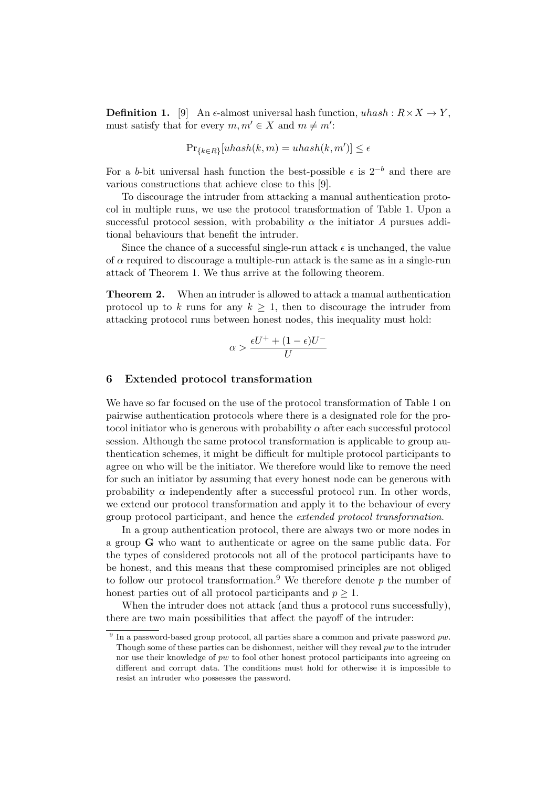**Definition 1.** [9] An  $\epsilon$ -almost universal hash function,  $uhash : R \times X \rightarrow Y$ , must satisfy that for every  $m, m' \in X$  and  $m \neq m'$ :

$$
\Pr_{\{k \in R\}}[uhash(k, m) = uhash(k, m')] \le \epsilon
$$

For a b-bit universal hash function the best-possible  $\epsilon$  is  $2^{-b}$  and there are various constructions that achieve close to this [9].

To discourage the intruder from attacking a manual authentication protocol in multiple runs, we use the protocol transformation of Table 1. Upon a successful protocol session, with probability  $\alpha$  the initiator A pursues additional behaviours that benefit the intruder.

Since the chance of a successful single-run attack  $\epsilon$  is unchanged, the value of  $\alpha$  required to discourage a multiple-run attack is the same as in a single-run attack of Theorem 1. We thus arrive at the following theorem.

Theorem 2. When an intruder is allowed to attack a manual authentication protocol up to k runs for any  $k \geq 1$ , then to discourage the intruder from attacking protocol runs between honest nodes, this inequality must hold:

$$
\alpha > \frac{\epsilon U^+ + (1 - \epsilon)U^-}{U}
$$

#### 6 Extended protocol transformation

We have so far focused on the use of the protocol transformation of Table 1 on pairwise authentication protocols where there is a designated role for the protocol initiator who is generous with probability  $\alpha$  after each successful protocol session. Although the same protocol transformation is applicable to group authentication schemes, it might be difficult for multiple protocol participants to agree on who will be the initiator. We therefore would like to remove the need for such an initiator by assuming that every honest node can be generous with probability  $\alpha$  independently after a successful protocol run. In other words, we extend our protocol transformation and apply it to the behaviour of every group protocol participant, and hence the extended protocol transformation.

In a group authentication protocol, there are always two or more nodes in a group G who want to authenticate or agree on the same public data. For the types of considered protocols not all of the protocol participants have to be honest, and this means that these compromised principles are not obliged to follow our protocol transformation.<sup>9</sup> We therefore denote p the number of honest parties out of all protocol participants and  $p \geq 1$ .

When the intruder does not attack (and thus a protocol runs successfully), there are two main possibilities that affect the payoff of the intruder:

<sup>&</sup>lt;sup>9</sup> In a password-based group protocol, all parties share a common and private password  $pw$ . Though some of these parties can be dishonnest, neither will they reveal  $pw$  to the intruder nor use their knowledge of pw to fool other honest protocol participants into agreeing on different and corrupt data. The conditions must hold for otherwise it is impossible to resist an intruder who possesses the password.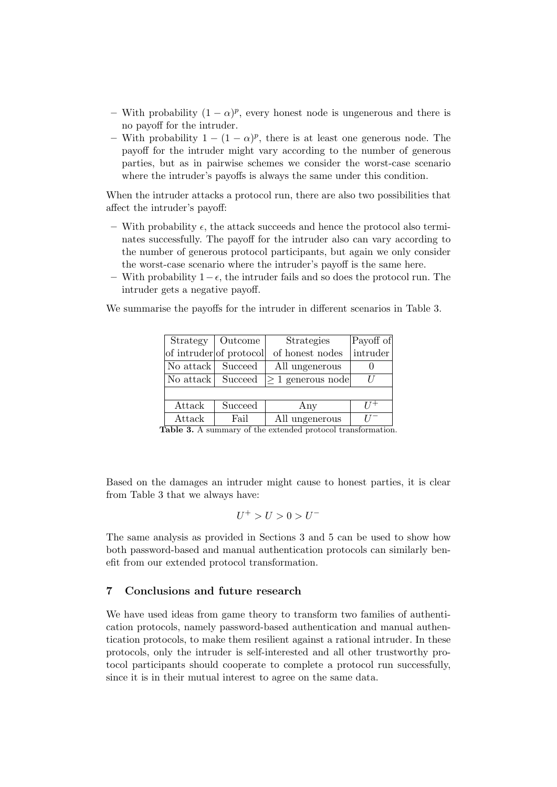- With probability  $(1 \alpha)^p$ , every honest node is ungenerous and there is no payoff for the intruder.
- With probability  $1 (1 \alpha)^p$ , there is at least one generous node. The payoff for the intruder might vary according to the number of generous parties, but as in pairwise schemes we consider the worst-case scenario where the intruder's payoffs is always the same under this condition.

When the intruder attacks a protocol run, there are also two possibilities that affect the intruder's payoff:

- With probability  $\epsilon$ , the attack succeeds and hence the protocol also terminates successfully. The payoff for the intruder also can vary according to the number of generous protocol participants, but again we only consider the worst-case scenario where the intruder's payoff is the same here.
- With probability  $1-\epsilon$ , the intruder fails and so does the protocol run. The intruder gets a negative payoff.

We summarise the payoffs for the intruder in different scenarios in Table 3.

|           | Strategy   Outcome      | <b>Strategies</b>       | Payoff of |
|-----------|-------------------------|-------------------------|-----------|
|           | of intruder of protocol | of honest nodes         | intruder  |
| No attack | Succeed                 | All ungenerous          |           |
| No attack | Succeed                 | $ \geq 1$ generous node |           |
|           |                         |                         |           |
| Attack    | Succeed                 | Any                     |           |
| Attack    | Fail                    | All ungenerous          |           |

Table 3. A summary of the extended protocol transformation.

Based on the damages an intruder might cause to honest parties, it is clear from Table 3 that we always have:

$$
U^+>U>0>U^-
$$

The same analysis as provided in Sections 3 and 5 can be used to show how both password-based and manual authentication protocols can similarly benefit from our extended protocol transformation.

# 7 Conclusions and future research

We have used ideas from game theory to transform two families of authentication protocols, namely password-based authentication and manual authentication protocols, to make them resilient against a rational intruder. In these protocols, only the intruder is self-interested and all other trustworthy protocol participants should cooperate to complete a protocol run successfully, since it is in their mutual interest to agree on the same data.